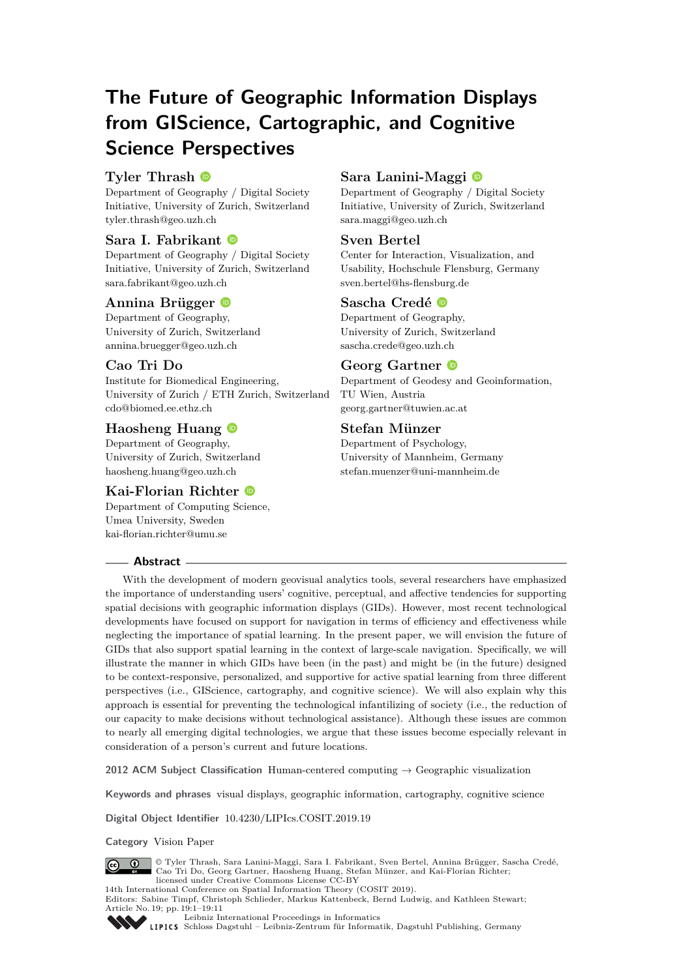# **The Future of Geographic Information Displays from GIScience, Cartographic, and Cognitive Science Perspectives**

# **Tyler Thrash**

Department of Geography / Digital Society Initiative, University of Zurich, Switzerland [tyler.thrash@geo.uzh.ch](mailto:tyler.thrash@geo.uzh.ch)

# **Sara I. Fabrikant**

Department of Geography / Digital Society Initiative, University of Zurich, Switzerland [sara.fabrikant@geo.uzh.ch](mailto:sara.fabrikant@geo.uzh.ch)

#### **Annina Brügger**

Department of Geography, University of Zurich, Switzerland [annina.bruegger@geo.uzh.ch](mailto:annina.bruegger@geo.uzh.ch)

## **Cao Tri Do**

Institute for Biomedical Engineering, University of Zurich / ETH Zurich, Switzerland [cdo@biomed.ee.ethz.ch](mailto:cdo@biomed.ee.ethz.ch)

# **Haosheng Huang**

Department of Geography, University of Zurich, Switzerland [haosheng.huang@geo.uzh.ch](mailto:haosheng.huang@geo.uzh.ch)

# **Kai-Florian Richter**

Department of Computing Science, Umea University, Sweden [kai-florian.richter@umu.se](mailto:kai-florian.richter@umu.se)

# **Sara Lanini-Maggi**

Department of Geography / Digital Society Initiative, University of Zurich, Switzerland [sara.maggi@geo.uzh.ch](mailto:sara.maggi@geo.uzh.ch)

## **Sven Bertel**

Center for Interaction, Visualization, and Usability, Hochschule Flensburg, Germany [sven.bertel@hs-flensburg.de](mailto:sven.bertel@hs-flensburg.de)

## **Sascha Credé**

Department of Geography, University of Zurich, Switzerland [sascha.crede@geo.uzh.ch](mailto:sascha.crede@geo.uzh.ch)

## **Georg Gartner**

Department of Geodesy and Geoinformation, TU Wien, Austria [georg.gartner@tuwien.ac.at](mailto:georg.gartner@tuwien.ac.at)

## **Stefan Münzer**

Department of Psychology, University of Mannheim, Germany [stefan.muenzer@uni-mannheim.de](mailto:stefan.muenzer@uni-mannheim.de)

#### **Abstract**

With the development of modern geovisual analytics tools, several researchers have emphasized the importance of understanding users' cognitive, perceptual, and affective tendencies for supporting spatial decisions with geographic information displays (GIDs). However, most recent technological developments have focused on support for navigation in terms of efficiency and effectiveness while neglecting the importance of spatial learning. In the present paper, we will envision the future of GIDs that also support spatial learning in the context of large-scale navigation. Specifically, we will illustrate the manner in which GIDs have been (in the past) and might be (in the future) designed to be context-responsive, personalized, and supportive for active spatial learning from three different perspectives (i.e., GIScience, cartography, and cognitive science). We will also explain why this approach is essential for preventing the technological infantilizing of society (i.e., the reduction of our capacity to make decisions without technological assistance). Although these issues are common to nearly all emerging digital technologies, we argue that these issues become especially relevant in consideration of a person's current and future locations.

**2012 ACM Subject Classification** Human-centered computing → Geographic visualization

**Keywords and phrases** visual displays, geographic information, cartography, cognitive science

**Digital Object Identifier** [10.4230/LIPIcs.COSIT.2019.19](https://doi.org/10.4230/LIPIcs.COSIT.2019.19)

**Category** Vision Paper



© Tyler Thrash, Sara Lanini-Maggi, Sara I. Fabrikant, Sven Bertel, Annina Brügger, Sascha Credé, Cao Tri Do, Georg Gartner, Haosheng Huang, Stefan Münzer, and Kai-Florian Richter; licensed under Creative Commons License CC-BY

14th International Conference on Spatial Information Theory (COSIT 2019).

Editors: Sabine Timpf, Christoph Schlieder, Markus Kattenbeck, Bernd Ludwig, and Kathleen Stewart; Article No. 19; pp. 19:1–19[:11](#page-10-0)



[Leibniz International Proceedings in Informatics](https://www.dagstuhl.de/lipics/)

[Schloss Dagstuhl – Leibniz-Zentrum für Informatik, Dagstuhl Publishing, Germany](https://www.dagstuhl.de)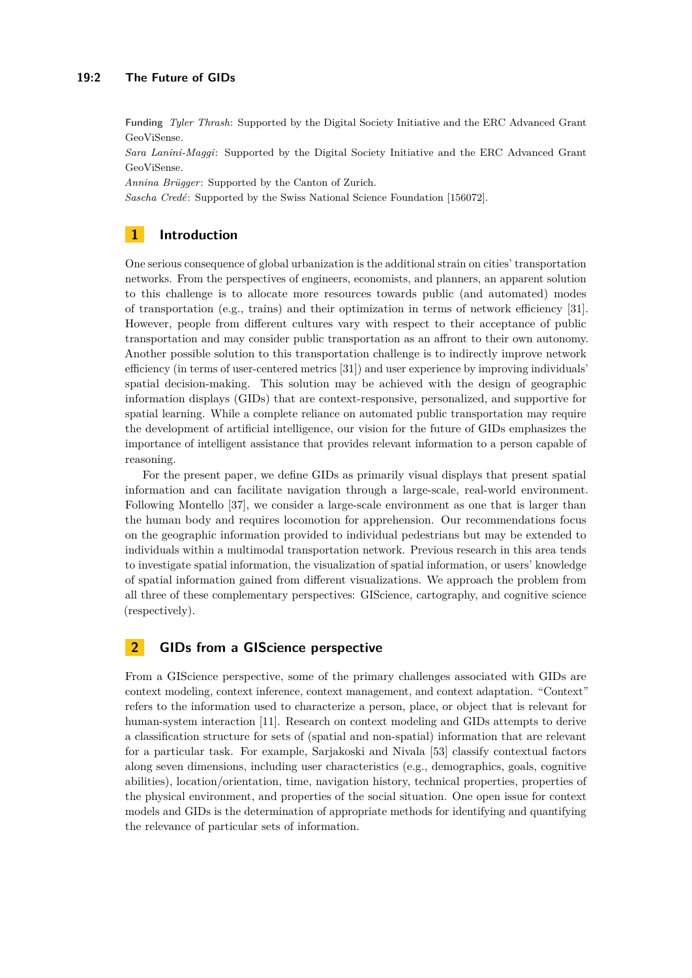#### **19:2 The Future of GIDs**

**Funding** *Tyler Thrash*: Supported by the Digital Society Initiative and the ERC Advanced Grant GeoViSense.

*Sara Lanini-Maggi*: Supported by the Digital Society Initiative and the ERC Advanced Grant GeoViSense.

*Annina Brügger*: Supported by the Canton of Zurich.

*Sascha Credé*: Supported by the Swiss National Science Foundation [156072].

## **1 Introduction**

One serious consequence of global urbanization is the additional strain on cities' transportation networks. From the perspectives of engineers, economists, and planners, an apparent solution to this challenge is to allocate more resources towards public (and automated) modes of transportation (e.g., trains) and their optimization in terms of network efficiency [\[31\]](#page-8-0). However, people from different cultures vary with respect to their acceptance of public transportation and may consider public transportation as an affront to their own autonomy. Another possible solution to this transportation challenge is to indirectly improve network efficiency (in terms of user-centered metrics [\[31\]](#page-8-0)) and user experience by improving individuals' spatial decision-making. This solution may be achieved with the design of geographic information displays (GIDs) that are context-responsive, personalized, and supportive for spatial learning. While a complete reliance on automated public transportation may require the development of artificial intelligence, our vision for the future of GIDs emphasizes the importance of intelligent assistance that provides relevant information to a person capable of reasoning.

For the present paper, we define GIDs as primarily visual displays that present spatial information and can facilitate navigation through a large-scale, real-world environment. Following Montello [\[37\]](#page-9-0), we consider a large-scale environment as one that is larger than the human body and requires locomotion for apprehension. Our recommendations focus on the geographic information provided to individual pedestrians but may be extended to individuals within a multimodal transportation network. Previous research in this area tends to investigate spatial information, the visualization of spatial information, or users' knowledge of spatial information gained from different visualizations. We approach the problem from all three of these complementary perspectives: GIScience, cartography, and cognitive science (respectively).

## **2 GIDs from a GIScience perspective**

From a GIScience perspective, some of the primary challenges associated with GIDs are context modeling, context inference, context management, and context adaptation. "Context" refers to the information used to characterize a person, place, or object that is relevant for human-system interaction [\[11\]](#page-7-0). Research on context modeling and GIDs attempts to derive a classification structure for sets of (spatial and non-spatial) information that are relevant for a particular task. For example, Sarjakoski and Nivala [\[53\]](#page-9-1) classify contextual factors along seven dimensions, including user characteristics (e.g., demographics, goals, cognitive abilities), location/orientation, time, navigation history, technical properties, properties of the physical environment, and properties of the social situation. One open issue for context models and GIDs is the determination of appropriate methods for identifying and quantifying the relevance of particular sets of information.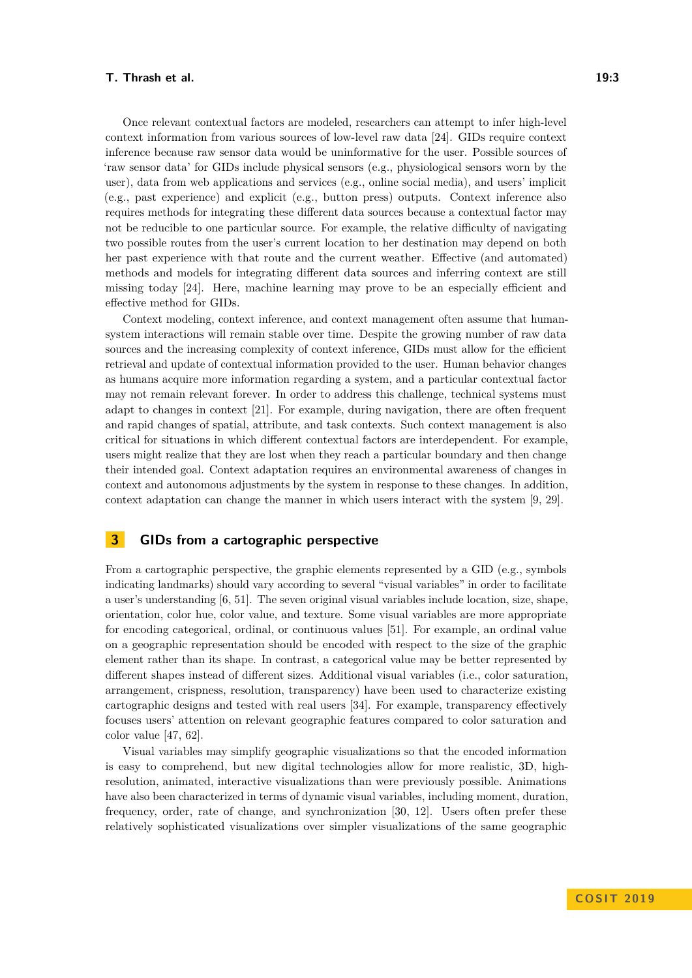Once relevant contextual factors are modeled, researchers can attempt to infer high-level context information from various sources of low-level raw data [\[24\]](#page-8-1). GIDs require context inference because raw sensor data would be uninformative for the user. Possible sources of 'raw sensor data' for GIDs include physical sensors (e.g., physiological sensors worn by the user), data from web applications and services (e.g., online social media), and users' implicit (e.g., past experience) and explicit (e.g., button press) outputs. Context inference also requires methods for integrating these different data sources because a contextual factor may not be reducible to one particular source. For example, the relative difficulty of navigating two possible routes from the user's current location to her destination may depend on both her past experience with that route and the current weather. Effective (and automated) methods and models for integrating different data sources and inferring context are still missing today [\[24\]](#page-8-1). Here, machine learning may prove to be an especially efficient and effective method for GIDs.

Context modeling, context inference, and context management often assume that humansystem interactions will remain stable over time. Despite the growing number of raw data sources and the increasing complexity of context inference, GIDs must allow for the efficient retrieval and update of contextual information provided to the user. Human behavior changes as humans acquire more information regarding a system, and a particular contextual factor may not remain relevant forever. In order to address this challenge, technical systems must adapt to changes in context [\[21\]](#page-8-2). For example, during navigation, there are often frequent and rapid changes of spatial, attribute, and task contexts. Such context management is also critical for situations in which different contextual factors are interdependent. For example, users might realize that they are lost when they reach a particular boundary and then change their intended goal. Context adaptation requires an environmental awareness of changes in context and autonomous adjustments by the system in response to these changes. In addition, context adaptation can change the manner in which users interact with the system [\[9,](#page-7-1) [29\]](#page-8-3).

## **3 GIDs from a cartographic perspective**

From a cartographic perspective, the graphic elements represented by a GID (e.g., symbols indicating landmarks) should vary according to several "visual variables" in order to facilitate a user's understanding [\[6,](#page-7-2) [51\]](#page-9-2). The seven original visual variables include location, size, shape, orientation, color hue, color value, and texture. Some visual variables are more appropriate for encoding categorical, ordinal, or continuous values [\[51\]](#page-9-2). For example, an ordinal value on a geographic representation should be encoded with respect to the size of the graphic element rather than its shape. In contrast, a categorical value may be better represented by different shapes instead of different sizes. Additional visual variables (i.e., color saturation, arrangement, crispness, resolution, transparency) have been used to characterize existing cartographic designs and tested with real users [\[34\]](#page-8-4). For example, transparency effectively focuses users' attention on relevant geographic features compared to color saturation and color value [\[47,](#page-9-3) [62\]](#page-10-1).

Visual variables may simplify geographic visualizations so that the encoded information is easy to comprehend, but new digital technologies allow for more realistic, 3D, highresolution, animated, interactive visualizations than were previously possible. Animations have also been characterized in terms of dynamic visual variables, including moment, duration, frequency, order, rate of change, and synchronization [\[30,](#page-8-5) [12\]](#page-7-3). Users often prefer these relatively sophisticated visualizations over simpler visualizations of the same geographic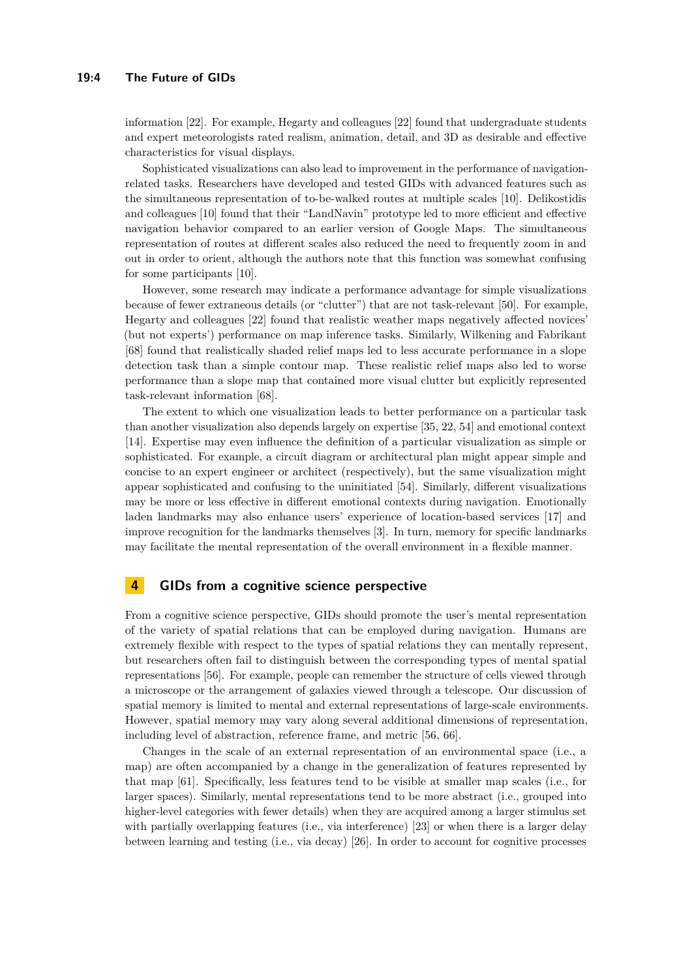information [\[22\]](#page-8-6). For example, Hegarty and colleagues [\[22\]](#page-8-6) found that undergraduate students and expert meteorologists rated realism, animation, detail, and 3D as desirable and effective characteristics for visual displays.

Sophisticated visualizations can also lead to improvement in the performance of navigationrelated tasks. Researchers have developed and tested GIDs with advanced features such as the simultaneous representation of to-be-walked routes at multiple scales [\[10\]](#page-7-4). Delikostidis and colleagues [\[10\]](#page-7-4) found that their "LandNavin" prototype led to more efficient and effective navigation behavior compared to an earlier version of Google Maps. The simultaneous representation of routes at different scales also reduced the need to frequently zoom in and out in order to orient, although the authors note that this function was somewhat confusing for some participants [\[10\]](#page-7-4).

However, some research may indicate a performance advantage for simple visualizations because of fewer extraneous details (or "clutter") that are not task-relevant [\[50\]](#page-9-4). For example, Hegarty and colleagues [\[22\]](#page-8-6) found that realistic weather maps negatively affected novices' (but not experts') performance on map inference tasks. Similarly, Wilkening and Fabrikant [\[68\]](#page-10-2) found that realistically shaded relief maps led to less accurate performance in a slope detection task than a simple contour map. These realistic relief maps also led to worse performance than a slope map that contained more visual clutter but explicitly represented task-relevant information [\[68\]](#page-10-2).

The extent to which one visualization leads to better performance on a particular task than another visualization also depends largely on expertise [\[35,](#page-8-7) [22,](#page-8-6) [54\]](#page-9-5) and emotional context [\[14\]](#page-7-5). Expertise may even influence the definition of a particular visualization as simple or sophisticated. For example, a circuit diagram or architectural plan might appear simple and concise to an expert engineer or architect (respectively), but the same visualization might appear sophisticated and confusing to the uninitiated [\[54\]](#page-9-5). Similarly, different visualizations may be more or less effective in different emotional contexts during navigation. Emotionally laden landmarks may also enhance users' experience of location-based services [\[17\]](#page-7-6) and improve recognition for the landmarks themselves [\[3\]](#page-7-7). In turn, memory for specific landmarks may facilitate the mental representation of the overall environment in a flexible manner.

# **4 GIDs from a cognitive science perspective**

From a cognitive science perspective, GIDs should promote the user's mental representation of the variety of spatial relations that can be employed during navigation. Humans are extremely flexible with respect to the types of spatial relations they can mentally represent, but researchers often fail to distinguish between the corresponding types of mental spatial representations [\[56\]](#page-9-6). For example, people can remember the structure of cells viewed through a microscope or the arrangement of galaxies viewed through a telescope. Our discussion of spatial memory is limited to mental and external representations of large-scale environments. However, spatial memory may vary along several additional dimensions of representation, including level of abstraction, reference frame, and metric [\[56,](#page-9-6) [66\]](#page-10-3).

Changes in the scale of an external representation of an environmental space (i.e., a map) are often accompanied by a change in the generalization of features represented by that map [\[61\]](#page-10-4). Specifically, less features tend to be visible at smaller map scales (i.e., for larger spaces). Similarly, mental representations tend to be more abstract (i.e., grouped into higher-level categories with fewer details) when they are acquired among a larger stimulus set with partially overlapping features (i.e., via interference) [\[23\]](#page-8-8) or when there is a larger delay between learning and testing (i.e., via decay) [\[26\]](#page-8-9). In order to account for cognitive processes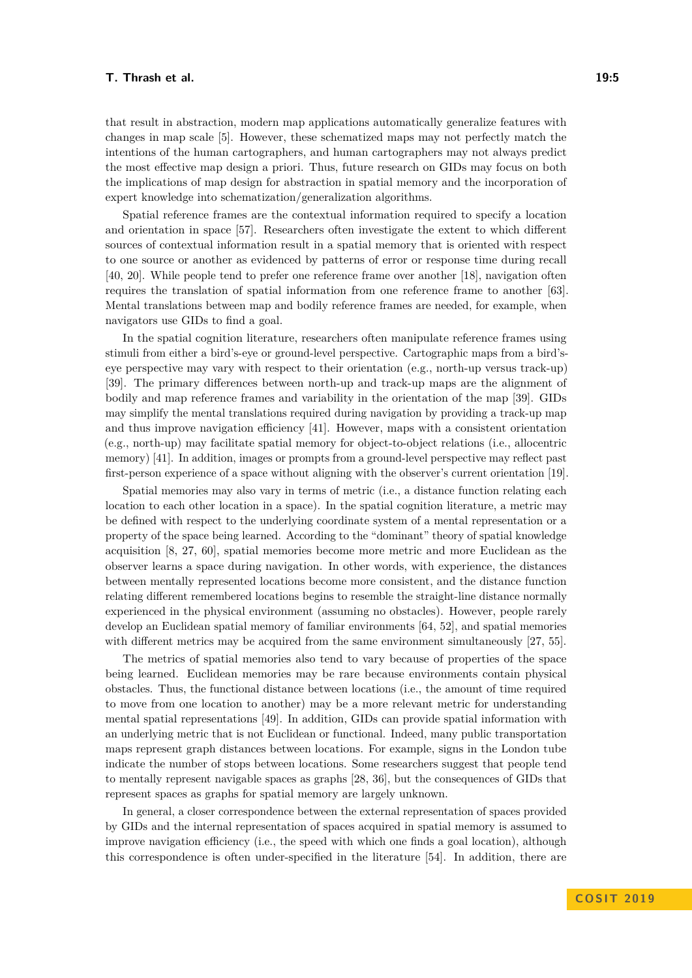that result in abstraction, modern map applications automatically generalize features with changes in map scale [\[5\]](#page-7-8). However, these schematized maps may not perfectly match the intentions of the human cartographers, and human cartographers may not always predict the most effective map design a priori. Thus, future research on GIDs may focus on both the implications of map design for abstraction in spatial memory and the incorporation of expert knowledge into schematization/generalization algorithms.

Spatial reference frames are the contextual information required to specify a location and orientation in space [\[57\]](#page-9-7). Researchers often investigate the extent to which different sources of contextual information result in a spatial memory that is oriented with respect to one source or another as evidenced by patterns of error or response time during recall [\[40,](#page-9-8) [20\]](#page-8-10). While people tend to prefer one reference frame over another [\[18\]](#page-7-9), navigation often requires the translation of spatial information from one reference frame to another [\[63\]](#page-10-5). Mental translations between map and bodily reference frames are needed, for example, when navigators use GIDs to find a goal.

In the spatial cognition literature, researchers often manipulate reference frames using stimuli from either a bird's-eye or ground-level perspective. Cartographic maps from a bird'seye perspective may vary with respect to their orientation (e.g., north-up versus track-up) [\[39\]](#page-9-9). The primary differences between north-up and track-up maps are the alignment of bodily and map reference frames and variability in the orientation of the map [\[39\]](#page-9-9). GIDs may simplify the mental translations required during navigation by providing a track-up map and thus improve navigation efficiency [\[41\]](#page-9-10). However, maps with a consistent orientation (e.g., north-up) may facilitate spatial memory for object-to-object relations (i.e., allocentric memory) [\[41\]](#page-9-10). In addition, images or prompts from a ground-level perspective may reflect past first-person experience of a space without aligning with the observer's current orientation [\[19\]](#page-7-10).

Spatial memories may also vary in terms of metric (i.e., a distance function relating each location to each other location in a space). In the spatial cognition literature, a metric may be defined with respect to the underlying coordinate system of a mental representation or a property of the space being learned. According to the "dominant" theory of spatial knowledge acquisition [\[8,](#page-7-11) [27,](#page-8-11) [60\]](#page-10-6), spatial memories become more metric and more Euclidean as the observer learns a space during navigation. In other words, with experience, the distances between mentally represented locations become more consistent, and the distance function relating different remembered locations begins to resemble the straight-line distance normally experienced in the physical environment (assuming no obstacles). However, people rarely develop an Euclidean spatial memory of familiar environments [\[64,](#page-10-7) [52\]](#page-9-11), and spatial memories with different metrics may be acquired from the same environment simultaneously [\[27,](#page-8-11) [55\]](#page-9-12).

The metrics of spatial memories also tend to vary because of properties of the space being learned. Euclidean memories may be rare because environments contain physical obstacles. Thus, the functional distance between locations (i.e., the amount of time required to move from one location to another) may be a more relevant metric for understanding mental spatial representations [\[49\]](#page-9-13). In addition, GIDs can provide spatial information with an underlying metric that is not Euclidean or functional. Indeed, many public transportation maps represent graph distances between locations. For example, signs in the London tube indicate the number of stops between locations. Some researchers suggest that people tend to mentally represent navigable spaces as graphs [\[28,](#page-8-12) [36\]](#page-8-13), but the consequences of GIDs that represent spaces as graphs for spatial memory are largely unknown.

In general, a closer correspondence between the external representation of spaces provided by GIDs and the internal representation of spaces acquired in spatial memory is assumed to improve navigation efficiency (i.e., the speed with which one finds a goal location), although this correspondence is often under-specified in the literature [\[54\]](#page-9-5). In addition, there are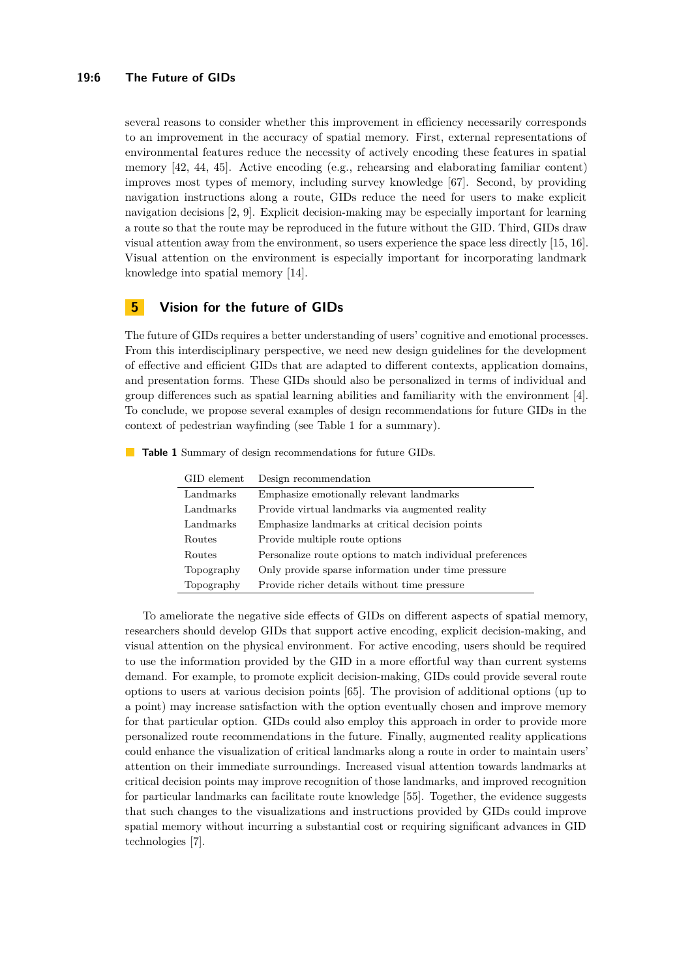#### **19:6 The Future of GIDs**

several reasons to consider whether this improvement in efficiency necessarily corresponds to an improvement in the accuracy of spatial memory. First, external representations of environmental features reduce the necessity of actively encoding these features in spatial memory [\[42,](#page-9-14) [44,](#page-9-15) [45\]](#page-9-16). Active encoding (e.g., rehearsing and elaborating familiar content) improves most types of memory, including survey knowledge [\[67\]](#page-10-8). Second, by providing navigation instructions along a route, GIDs reduce the need for users to make explicit navigation decisions [\[2,](#page-7-12) [9\]](#page-7-1). Explicit decision-making may be especially important for learning a route so that the route may be reproduced in the future without the GID. Third, GIDs draw visual attention away from the environment, so users experience the space less directly [\[15,](#page-7-13) [16\]](#page-7-14). Visual attention on the environment is especially important for incorporating landmark knowledge into spatial memory [\[14\]](#page-7-5).

#### **5 Vision for the future of GIDs**

The future of GIDs requires a better understanding of users' cognitive and emotional processes. From this interdisciplinary perspective, we need new design guidelines for the development of effective and efficient GIDs that are adapted to different contexts, application domains, and presentation forms. These GIDs should also be personalized in terms of individual and group differences such as spatial learning abilities and familiarity with the environment [\[4\]](#page-7-15). To conclude, we propose several examples of design recommendations for future GIDs in the context of pedestrian wayfinding (see Table 1 for a summary).

| GID element | Design recommendation                                     |
|-------------|-----------------------------------------------------------|
| Landmarks   | Emphasize emotionally relevant landmarks                  |
| Landmarks   | Provide virtual landmarks via augmented reality           |
| Landmarks   | Emphasize landmarks at critical decision points           |
| Routes      | Provide multiple route options                            |
| Routes      | Personalize route options to match individual preferences |
| Topography  | Only provide sparse information under time pressure       |
| Topography  | Provide richer details without time pressure              |

**Table 1** Summary of design recommendations for future GIDs.

To ameliorate the negative side effects of GIDs on different aspects of spatial memory, researchers should develop GIDs that support active encoding, explicit decision-making, and visual attention on the physical environment. For active encoding, users should be required to use the information provided by the GID in a more effortful way than current systems demand. For example, to promote explicit decision-making, GIDs could provide several route options to users at various decision points [\[65\]](#page-10-9). The provision of additional options (up to a point) may increase satisfaction with the option eventually chosen and improve memory for that particular option. GIDs could also employ this approach in order to provide more personalized route recommendations in the future. Finally, augmented reality applications could enhance the visualization of critical landmarks along a route in order to maintain users' attention on their immediate surroundings. Increased visual attention towards landmarks at critical decision points may improve recognition of those landmarks, and improved recognition for particular landmarks can facilitate route knowledge [\[55\]](#page-9-12). Together, the evidence suggests that such changes to the visualizations and instructions provided by GIDs could improve spatial memory without incurring a substantial cost or requiring significant advances in GID technologies [\[7\]](#page-7-16).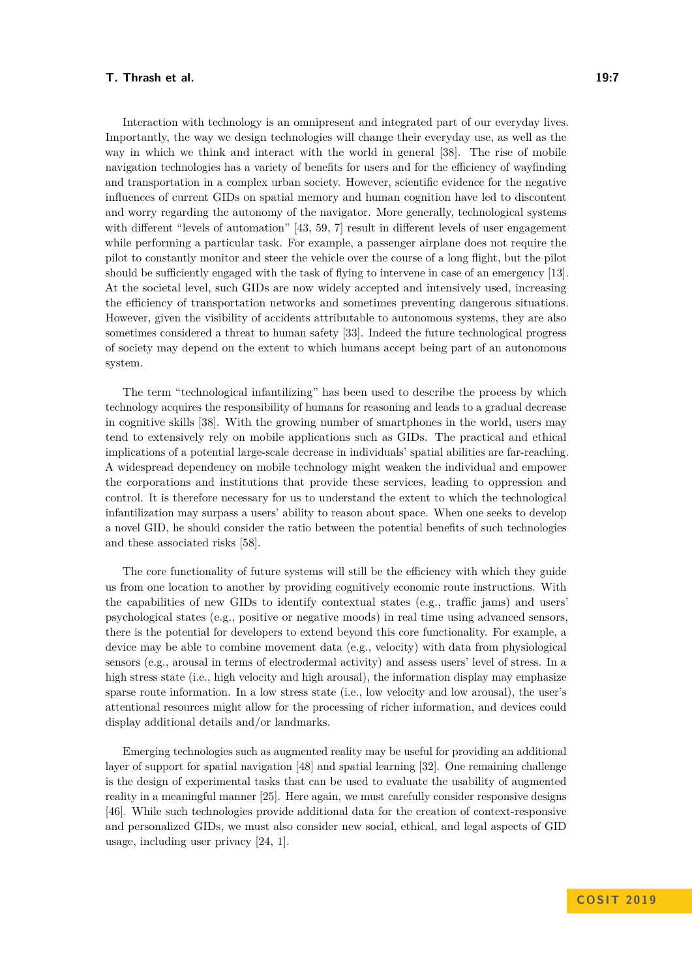Interaction with technology is an omnipresent and integrated part of our everyday lives. Importantly, the way we design technologies will change their everyday use, as well as the way in which we think and interact with the world in general [\[38\]](#page-9-17). The rise of mobile navigation technologies has a variety of benefits for users and for the efficiency of wayfinding and transportation in a complex urban society. However, scientific evidence for the negative influences of current GIDs on spatial memory and human cognition have led to discontent and worry regarding the autonomy of the navigator. More generally, technological systems with different "levels of automation" [\[43,](#page-9-18) [59,](#page-10-10) [7\]](#page-7-16) result in different levels of user engagement while performing a particular task. For example, a passenger airplane does not require the pilot to constantly monitor and steer the vehicle over the course of a long flight, but the pilot should be sufficiently engaged with the task of flying to intervene in case of an emergency [\[13\]](#page-7-17). At the societal level, such GIDs are now widely accepted and intensively used, increasing the efficiency of transportation networks and sometimes preventing dangerous situations. However, given the visibility of accidents attributable to autonomous systems, they are also sometimes considered a threat to human safety [\[33\]](#page-8-14). Indeed the future technological progress of society may depend on the extent to which humans accept being part of an autonomous system.

The term "technological infantilizing" has been used to describe the process by which technology acquires the responsibility of humans for reasoning and leads to a gradual decrease in cognitive skills [\[38\]](#page-9-17). With the growing number of smartphones in the world, users may tend to extensively rely on mobile applications such as GIDs. The practical and ethical implications of a potential large-scale decrease in individuals' spatial abilities are far-reaching. A widespread dependency on mobile technology might weaken the individual and empower the corporations and institutions that provide these services, leading to oppression and control. It is therefore necessary for us to understand the extent to which the technological infantilization may surpass a users' ability to reason about space. When one seeks to develop a novel GID, he should consider the ratio between the potential benefits of such technologies and these associated risks [\[58\]](#page-9-19).

The core functionality of future systems will still be the efficiency with which they guide us from one location to another by providing cognitively economic route instructions. With the capabilities of new GIDs to identify contextual states (e.g., traffic jams) and users' psychological states (e.g., positive or negative moods) in real time using advanced sensors, there is the potential for developers to extend beyond this core functionality. For example, a device may be able to combine movement data (e.g., velocity) with data from physiological sensors (e.g., arousal in terms of electrodermal activity) and assess users' level of stress. In a high stress state (i.e., high velocity and high arousal), the information display may emphasize sparse route information. In a low stress state (i.e., low velocity and low arousal), the user's attentional resources might allow for the processing of richer information, and devices could display additional details and/or landmarks.

Emerging technologies such as augmented reality may be useful for providing an additional layer of support for spatial navigation [\[48\]](#page-9-20) and spatial learning [\[32\]](#page-8-15). One remaining challenge is the design of experimental tasks that can be used to evaluate the usability of augmented reality in a meaningful manner [\[25\]](#page-8-16). Here again, we must carefully consider responsive designs [\[46\]](#page-9-21). While such technologies provide additional data for the creation of context-responsive and personalized GIDs, we must also consider new social, ethical, and legal aspects of GID usage, including user privacy [\[24,](#page-8-1) [1\]](#page-7-18).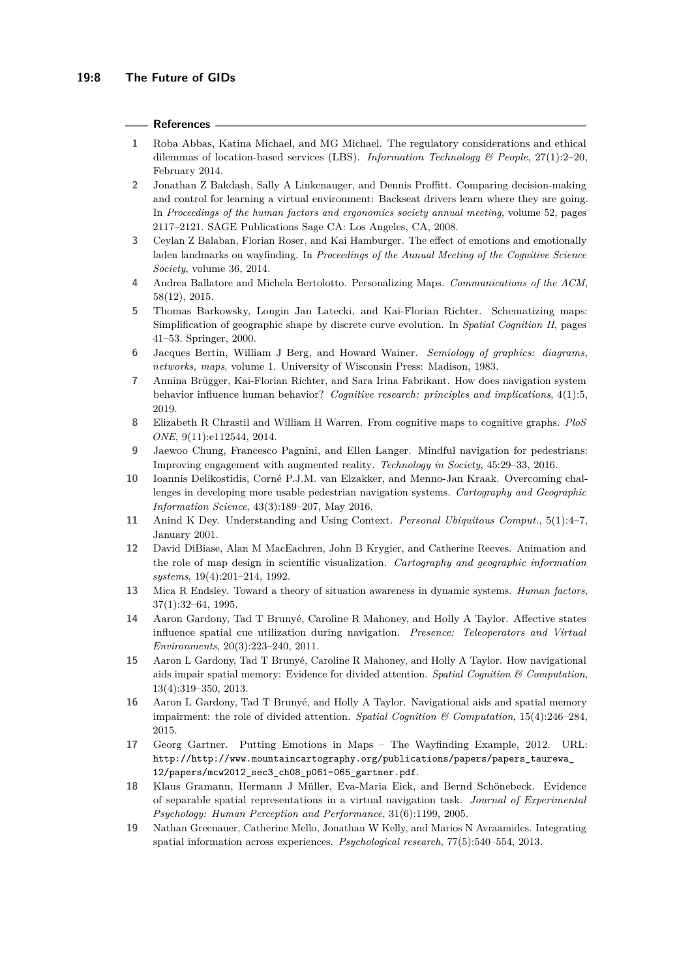#### **References**

- <span id="page-7-18"></span>**1** Roba Abbas, Katina Michael, and MG Michael. The regulatory considerations and ethical dilemmas of location-based services (LBS). *Information Technology & People*, 27(1):2–20, February 2014.
- <span id="page-7-12"></span>**2** Jonathan Z Bakdash, Sally A Linkenauger, and Dennis Proffitt. Comparing decision-making and control for learning a virtual environment: Backseat drivers learn where they are going. In *Proceedings of the human factors and ergonomics society annual meeting*, volume 52, pages 2117–2121. SAGE Publications Sage CA: Los Angeles, CA, 2008.
- <span id="page-7-7"></span>**3** Ceylan Z Balaban, Florian Roser, and Kai Hamburger. The effect of emotions and emotionally laden landmarks on wayfinding. In *Proceedings of the Annual Meeting of the Cognitive Science Society*, volume 36, 2014.
- <span id="page-7-15"></span>**4** Andrea Ballatore and Michela Bertolotto. Personalizing Maps. *Communications of the ACM*, 58(12), 2015.
- <span id="page-7-8"></span>**5** Thomas Barkowsky, Longin Jan Latecki, and Kai-Florian Richter. Schematizing maps: Simplification of geographic shape by discrete curve evolution. In *Spatial Cognition II*, pages 41–53. Springer, 2000.
- <span id="page-7-2"></span>**6** Jacques Bertin, William J Berg, and Howard Wainer. *Semiology of graphics: diagrams, networks, maps*, volume 1. University of Wisconsin Press: Madison, 1983.
- <span id="page-7-16"></span>**7** Annina Brügger, Kai-Florian Richter, and Sara Irina Fabrikant. How does navigation system behavior influence human behavior? *Cognitive research: principles and implications*, 4(1):5, 2019.
- <span id="page-7-11"></span>**8** Elizabeth R Chrastil and William H Warren. From cognitive maps to cognitive graphs. *PloS ONE*, 9(11):e112544, 2014.
- <span id="page-7-1"></span>**9** Jaewoo Chung, Francesco Pagnini, and Ellen Langer. Mindful navigation for pedestrians: Improving engagement with augmented reality. *Technology in Society*, 45:29–33, 2016.
- <span id="page-7-4"></span>**10** Ioannis Delikostidis, Corné P.J.M. van Elzakker, and Menno-Jan Kraak. Overcoming challenges in developing more usable pedestrian navigation systems. *Cartography and Geographic Information Science*, 43(3):189–207, May 2016.
- <span id="page-7-0"></span>**11** Anind K Dey. Understanding and Using Context. *Personal Ubiquitous Comput.*, 5(1):4–7, January 2001.
- <span id="page-7-3"></span>**12** David DiBiase, Alan M MacEachren, John B Krygier, and Catherine Reeves. Animation and the role of map design in scientific visualization. *Cartography and geographic information systems*, 19(4):201–214, 1992.
- <span id="page-7-17"></span>**13** Mica R Endsley. Toward a theory of situation awareness in dynamic systems. *Human factors*, 37(1):32–64, 1995.
- <span id="page-7-5"></span>**14** Aaron Gardony, Tad T Brunyé, Caroline R Mahoney, and Holly A Taylor. Affective states influence spatial cue utilization during navigation. *Presence: Teleoperators and Virtual Environments*, 20(3):223–240, 2011.
- <span id="page-7-13"></span>**15** Aaron L Gardony, Tad T Brunyé, Caroline R Mahoney, and Holly A Taylor. How navigational aids impair spatial memory: Evidence for divided attention. *Spatial Cognition & Computation*, 13(4):319–350, 2013.
- <span id="page-7-14"></span>**16** Aaron L Gardony, Tad T Brunyé, and Holly A Taylor. Navigational aids and spatial memory impairment: the role of divided attention. *Spatial Cognition & Computation*, 15(4):246–284, 2015.
- <span id="page-7-6"></span>**17** Georg Gartner. Putting Emotions in Maps – The Wayfinding Example, 2012. URL: [http://http://www.mountaincartography.org/publications/papers/papers\\_taurewa\\_](http://http://www.mountaincartography.org/publications/papers/papers_taurewa_12/papers/mcw2012_sec3_ch08_p061-065_gartner.pdf) [12/papers/mcw2012\\_sec3\\_ch08\\_p061-065\\_gartner.pdf](http://http://www.mountaincartography.org/publications/papers/papers_taurewa_12/papers/mcw2012_sec3_ch08_p061-065_gartner.pdf).
- <span id="page-7-9"></span>**18** Klaus Gramann, Hermann J Müller, Eva-Maria Eick, and Bernd Schönebeck. Evidence of separable spatial representations in a virtual navigation task. *Journal of Experimental Psychology: Human Perception and Performance*, 31(6):1199, 2005.
- <span id="page-7-10"></span>**19** Nathan Greenauer, Catherine Mello, Jonathan W Kelly, and Marios N Avraamides. Integrating spatial information across experiences. *Psychological research*, 77(5):540–554, 2013.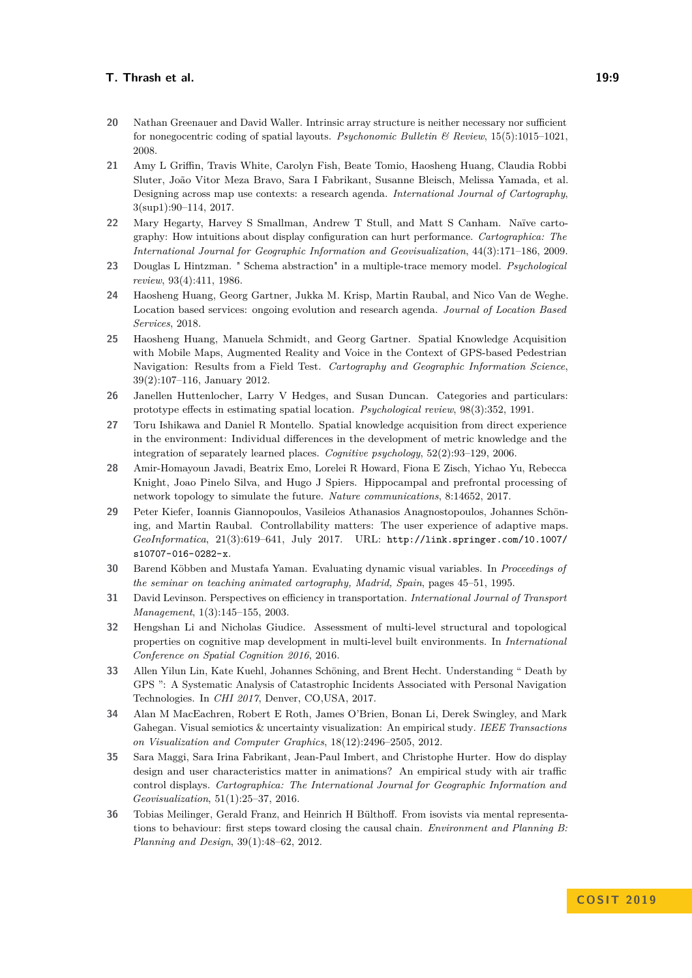- <span id="page-8-10"></span>**20** Nathan Greenauer and David Waller. Intrinsic array structure is neither necessary nor sufficient for nonegocentric coding of spatial layouts. *Psychonomic Bulletin & Review*, 15(5):1015–1021, 2008.
- <span id="page-8-2"></span>**21** Amy L Griffin, Travis White, Carolyn Fish, Beate Tomio, Haosheng Huang, Claudia Robbi Sluter, João Vitor Meza Bravo, Sara I Fabrikant, Susanne Bleisch, Melissa Yamada, et al. Designing across map use contexts: a research agenda. *International Journal of Cartography*, 3(sup1):90–114, 2017.
- <span id="page-8-6"></span>**22** Mary Hegarty, Harvey S Smallman, Andrew T Stull, and Matt S Canham. Naïve cartography: How intuitions about display configuration can hurt performance. *Cartographica: The International Journal for Geographic Information and Geovisualization*, 44(3):171–186, 2009.
- <span id="page-8-8"></span>**23** Douglas L Hintzman. " Schema abstraction" in a multiple-trace memory model. *Psychological review*, 93(4):411, 1986.
- <span id="page-8-1"></span>**24** Haosheng Huang, Georg Gartner, Jukka M. Krisp, Martin Raubal, and Nico Van de Weghe. Location based services: ongoing evolution and research agenda. *Journal of Location Based Services*, 2018.
- <span id="page-8-16"></span>**25** Haosheng Huang, Manuela Schmidt, and Georg Gartner. Spatial Knowledge Acquisition with Mobile Maps, Augmented Reality and Voice in the Context of GPS-based Pedestrian Navigation: Results from a Field Test. *Cartography and Geographic Information Science*, 39(2):107–116, January 2012.
- <span id="page-8-9"></span>**26** Janellen Huttenlocher, Larry V Hedges, and Susan Duncan. Categories and particulars: prototype effects in estimating spatial location. *Psychological review*, 98(3):352, 1991.
- <span id="page-8-11"></span>**27** Toru Ishikawa and Daniel R Montello. Spatial knowledge acquisition from direct experience in the environment: Individual differences in the development of metric knowledge and the integration of separately learned places. *Cognitive psychology*, 52(2):93–129, 2006.
- <span id="page-8-12"></span>**28** Amir-Homayoun Javadi, Beatrix Emo, Lorelei R Howard, Fiona E Zisch, Yichao Yu, Rebecca Knight, Joao Pinelo Silva, and Hugo J Spiers. Hippocampal and prefrontal processing of network topology to simulate the future. *Nature communications*, 8:14652, 2017.
- <span id="page-8-3"></span>**29** Peter Kiefer, Ioannis Giannopoulos, Vasileios Athanasios Anagnostopoulos, Johannes Schöning, and Martin Raubal. Controllability matters: The user experience of adaptive maps. *GeoInformatica*, 21(3):619–641, July 2017. URL: [http://link.springer.com/10.1007/](http://link.springer.com/10.1007/s10707-016-0282-x) [s10707-016-0282-x](http://link.springer.com/10.1007/s10707-016-0282-x).
- <span id="page-8-5"></span>**30** Barend Köbben and Mustafa Yaman. Evaluating dynamic visual variables. In *Proceedings of the seminar on teaching animated cartography, Madrid, Spain*, pages 45–51, 1995.
- <span id="page-8-0"></span>**31** David Levinson. Perspectives on efficiency in transportation. *International Journal of Transport Management*, 1(3):145–155, 2003.
- <span id="page-8-15"></span>**32** Hengshan Li and Nicholas Giudice. Assessment of multi-level structural and topological properties on cognitive map development in multi-level built environments. In *International Conference on Spatial Cognition 2016*, 2016.
- <span id="page-8-14"></span>**33** Allen Yilun Lin, Kate Kuehl, Johannes Schöning, and Brent Hecht. Understanding " Death by GPS ": A Systematic Analysis of Catastrophic Incidents Associated with Personal Navigation Technologies. In *CHI 2017*, Denver, CO,USA, 2017.
- <span id="page-8-4"></span>**34** Alan M MacEachren, Robert E Roth, James O'Brien, Bonan Li, Derek Swingley, and Mark Gahegan. Visual semiotics & uncertainty visualization: An empirical study. *IEEE Transactions on Visualization and Computer Graphics*, 18(12):2496–2505, 2012.
- <span id="page-8-7"></span>**35** Sara Maggi, Sara Irina Fabrikant, Jean-Paul Imbert, and Christophe Hurter. How do display design and user characteristics matter in animations? An empirical study with air traffic control displays. *Cartographica: The International Journal for Geographic Information and Geovisualization*, 51(1):25–37, 2016.
- <span id="page-8-13"></span>**36** Tobias Meilinger, Gerald Franz, and Heinrich H Bülthoff. From isovists via mental representations to behaviour: first steps toward closing the causal chain. *Environment and Planning B: Planning and Design*, 39(1):48–62, 2012.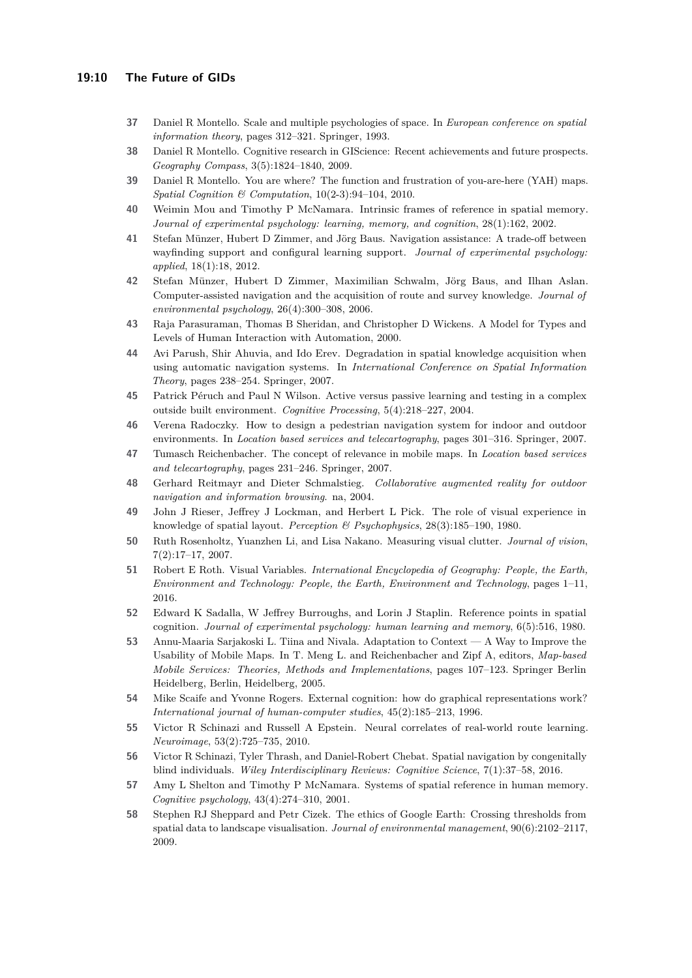- <span id="page-9-0"></span>**37** Daniel R Montello. Scale and multiple psychologies of space. In *European conference on spatial information theory*, pages 312–321. Springer, 1993.
- <span id="page-9-17"></span>**38** Daniel R Montello. Cognitive research in GIScience: Recent achievements and future prospects. *Geography Compass*, 3(5):1824–1840, 2009.
- <span id="page-9-9"></span>**39** Daniel R Montello. You are where? The function and frustration of you-are-here (YAH) maps. *Spatial Cognition & Computation*, 10(2-3):94–104, 2010.
- <span id="page-9-8"></span>**40** Weimin Mou and Timothy P McNamara. Intrinsic frames of reference in spatial memory. *Journal of experimental psychology: learning, memory, and cognition*, 28(1):162, 2002.
- <span id="page-9-10"></span>**41** Stefan Münzer, Hubert D Zimmer, and Jörg Baus. Navigation assistance: A trade-off between wayfinding support and configural learning support. *Journal of experimental psychology: applied*, 18(1):18, 2012.
- <span id="page-9-14"></span>**42** Stefan Münzer, Hubert D Zimmer, Maximilian Schwalm, Jörg Baus, and Ilhan Aslan. Computer-assisted navigation and the acquisition of route and survey knowledge. *Journal of environmental psychology*, 26(4):300–308, 2006.
- <span id="page-9-18"></span>**43** Raja Parasuraman, Thomas B Sheridan, and Christopher D Wickens. A Model for Types and Levels of Human Interaction with Automation, 2000.
- <span id="page-9-15"></span>**44** Avi Parush, Shir Ahuvia, and Ido Erev. Degradation in spatial knowledge acquisition when using automatic navigation systems. In *International Conference on Spatial Information Theory*, pages 238–254. Springer, 2007.
- <span id="page-9-16"></span>**45** Patrick Péruch and Paul N Wilson. Active versus passive learning and testing in a complex outside built environment. *Cognitive Processing*, 5(4):218–227, 2004.
- <span id="page-9-21"></span>**46** Verena Radoczky. How to design a pedestrian navigation system for indoor and outdoor environments. In *Location based services and telecartography*, pages 301–316. Springer, 2007.
- <span id="page-9-3"></span>**47** Tumasch Reichenbacher. The concept of relevance in mobile maps. In *Location based services and telecartography*, pages 231–246. Springer, 2007.
- <span id="page-9-20"></span>**48** Gerhard Reitmayr and Dieter Schmalstieg. *Collaborative augmented reality for outdoor navigation and information browsing*. na, 2004.
- <span id="page-9-13"></span>**49** John J Rieser, Jeffrey J Lockman, and Herbert L Pick. The role of visual experience in knowledge of spatial layout. *Perception & Psychophysics*, 28(3):185–190, 1980.
- <span id="page-9-4"></span>**50** Ruth Rosenholtz, Yuanzhen Li, and Lisa Nakano. Measuring visual clutter. *Journal of vision*, 7(2):17–17, 2007.
- <span id="page-9-2"></span>**51** Robert E Roth. Visual Variables. *International Encyclopedia of Geography: People, the Earth, Environment and Technology: People, the Earth, Environment and Technology*, pages 1–11, 2016.
- <span id="page-9-11"></span>**52** Edward K Sadalla, W Jeffrey Burroughs, and Lorin J Staplin. Reference points in spatial cognition. *Journal of experimental psychology: human learning and memory*, 6(5):516, 1980.
- <span id="page-9-1"></span>**53** Annu-Maaria Sarjakoski L. Tiina and Nivala. Adaptation to Context — A Way to Improve the Usability of Mobile Maps. In T. Meng L. and Reichenbacher and Zipf A, editors, *Map-based Mobile Services: Theories, Methods and Implementations*, pages 107–123. Springer Berlin Heidelberg, Berlin, Heidelberg, 2005.
- <span id="page-9-5"></span>**54** Mike Scaife and Yvonne Rogers. External cognition: how do graphical representations work? *International journal of human-computer studies*, 45(2):185–213, 1996.
- <span id="page-9-12"></span>**55** Victor R Schinazi and Russell A Epstein. Neural correlates of real-world route learning. *Neuroimage*, 53(2):725–735, 2010.
- <span id="page-9-6"></span>**56** Victor R Schinazi, Tyler Thrash, and Daniel-Robert Chebat. Spatial navigation by congenitally blind individuals. *Wiley Interdisciplinary Reviews: Cognitive Science*, 7(1):37–58, 2016.
- <span id="page-9-7"></span>**57** Amy L Shelton and Timothy P McNamara. Systems of spatial reference in human memory. *Cognitive psychology*, 43(4):274–310, 2001.
- <span id="page-9-19"></span>**58** Stephen RJ Sheppard and Petr Cizek. The ethics of Google Earth: Crossing thresholds from spatial data to landscape visualisation. *Journal of environmental management*, 90(6):2102–2117, 2009.